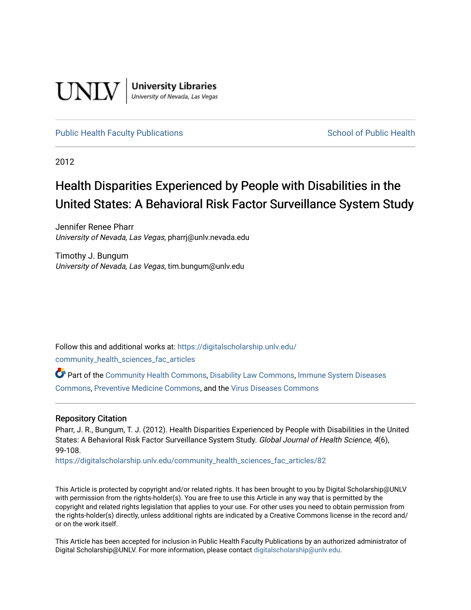

[Public Health Faculty Publications](https://digitalscholarship.unlv.edu/community_health_sciences_fac_articles) **School of Public Health** School of Public Health

2012

# Health Disparities Experienced by People with Disabilities in the United States: A Behavioral Risk Factor Surveillance System Study

Jennifer Renee Pharr University of Nevada, Las Vegas, pharrj@unlv.nevada.edu

Timothy J. Bungum University of Nevada, Las Vegas, tim.bungum@unlv.edu

Follow this and additional works at: [https://digitalscholarship.unlv.edu/](https://digitalscholarship.unlv.edu/community_health_sciences_fac_articles?utm_source=digitalscholarship.unlv.edu%2Fcommunity_health_sciences_fac_articles%2F82&utm_medium=PDF&utm_campaign=PDFCoverPages)

[community\\_health\\_sciences\\_fac\\_articles](https://digitalscholarship.unlv.edu/community_health_sciences_fac_articles?utm_source=digitalscholarship.unlv.edu%2Fcommunity_health_sciences_fac_articles%2F82&utm_medium=PDF&utm_campaign=PDFCoverPages) 

Part of the [Community Health Commons,](http://network.bepress.com/hgg/discipline/714?utm_source=digitalscholarship.unlv.edu%2Fcommunity_health_sciences_fac_articles%2F82&utm_medium=PDF&utm_campaign=PDFCoverPages) [Disability Law Commons,](http://network.bepress.com/hgg/discipline/1074?utm_source=digitalscholarship.unlv.edu%2Fcommunity_health_sciences_fac_articles%2F82&utm_medium=PDF&utm_campaign=PDFCoverPages) [Immune System Diseases](http://network.bepress.com/hgg/discipline/933?utm_source=digitalscholarship.unlv.edu%2Fcommunity_health_sciences_fac_articles%2F82&utm_medium=PDF&utm_campaign=PDFCoverPages) [Commons](http://network.bepress.com/hgg/discipline/933?utm_source=digitalscholarship.unlv.edu%2Fcommunity_health_sciences_fac_articles%2F82&utm_medium=PDF&utm_campaign=PDFCoverPages), [Preventive Medicine Commons](http://network.bepress.com/hgg/discipline/703?utm_source=digitalscholarship.unlv.edu%2Fcommunity_health_sciences_fac_articles%2F82&utm_medium=PDF&utm_campaign=PDFCoverPages), and the [Virus Diseases Commons](http://network.bepress.com/hgg/discipline/998?utm_source=digitalscholarship.unlv.edu%2Fcommunity_health_sciences_fac_articles%2F82&utm_medium=PDF&utm_campaign=PDFCoverPages) 

# Repository Citation

Pharr, J. R., Bungum, T. J. (2012). Health Disparities Experienced by People with Disabilities in the United States: A Behavioral Risk Factor Surveillance System Study. Global Journal of Health Science, 4(6), 99-108.

[https://digitalscholarship.unlv.edu/community\\_health\\_sciences\\_fac\\_articles/82](https://digitalscholarship.unlv.edu/community_health_sciences_fac_articles/82) 

This Article is protected by copyright and/or related rights. It has been brought to you by Digital Scholarship@UNLV with permission from the rights-holder(s). You are free to use this Article in any way that is permitted by the copyright and related rights legislation that applies to your use. For other uses you need to obtain permission from the rights-holder(s) directly, unless additional rights are indicated by a Creative Commons license in the record and/ or on the work itself.

This Article has been accepted for inclusion in Public Health Faculty Publications by an authorized administrator of Digital Scholarship@UNLV. For more information, please contact [digitalscholarship@unlv.edu](mailto:digitalscholarship@unlv.edu).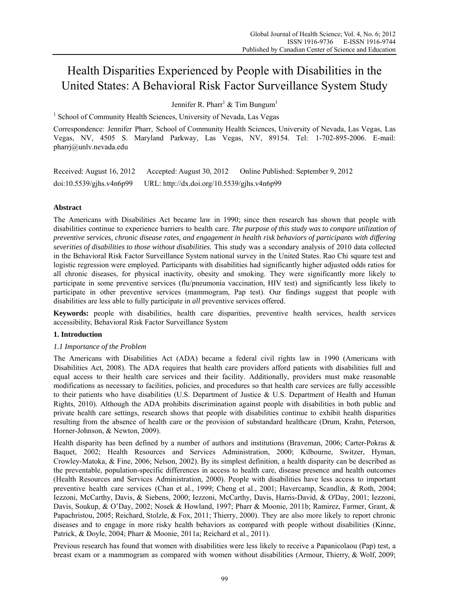# Health Disparities Experienced by People with Disabilities in the United States: A Behavioral Risk Factor Surveillance System Study

Jennifer R. Pharr<sup>1</sup> & Tim Bungum<sup>1</sup>

<sup>1</sup> School of Community Health Sciences, University of Nevada, Las Vegas

Correspondence: Jennifer Pharr, School of Community Health Sciences, University of Nevada, Las Vegas, Las Vegas, NV, 4505 S. Maryland Parkway, Las Vegas, NV, 89154. Tel: 1-702-895-2006. E-mail: pharrj@unlv.nevada.edu

| Received: August 16, 2012 | Accepted: August 30, 2012                   | Online Published: September 9, 2012 |
|---------------------------|---------------------------------------------|-------------------------------------|
| doi:10.5539/gjhs.v4n6p99  | URL: http://dx.doi.org/10.5539/gjhs.v4n6p99 |                                     |

## **Abstract**

The Americans with Disabilities Act became law in 1990; since then research has shown that people with disabilities continue to experience barriers to health care. *The purpose of this study was to compare utilization of preventive services, chronic disease rates, and engagement in health risk behaviors of participants with differing severities of disabilities to those without disabilities.* This study was a secondary analysis of 2010 data collected in the Behavioral Risk Factor Surveillance System national survey in the United States. Rao Chi square test and logistic regression were employed. Participants with disabilities had significantly higher adjusted odds ratios for all chronic diseases, for physical inactivity, obesity and smoking. They were significantly more likely to participate in some preventive services (flu/pneumonia vaccination, HIV test) and significantly less likely to participate in other preventive services (mammogram, Pap test). Our findings suggest that people with disabilities are less able to fully participate in *all* preventive services offered.

**Keywords:** people with disabilities, health care disparities, preventive health services, health services accessibility, Behavioral Risk Factor Surveillance System

# **1. Introduction**

#### *1.1 Importance of the Problem*

The Americans with Disabilities Act (ADA) became a federal civil rights law in 1990 (Americans with Disabilities Act, 2008). The ADA requires that health care providers afford patients with disabilities full and equal access to their health care services and their facility. Additionally, providers must make reasonable modifications as necessary to facilities, policies, and procedures so that health care services are fully accessible to their patients who have disabilities (U.S. Department of Justice & U.S. Department of Health and Human Rights, 2010). Although the ADA prohibits discrimination against people with disabilities in both public and private health care settings, research shows that people with disabilities continue to exhibit health disparities resulting from the absence of health care or the provision of substandard healthcare (Drum, Krahn, Peterson, Horner-Johnson, & Newton, 2009).

Health disparity has been defined by a number of authors and institutions (Braveman, 2006; Carter-Pokras & Baquet, 2002; Health Resources and Services Administration, 2000; Kilbourne, Switzer, Hyman, Crowley-Matoka, & Fine, 2006; Nelson, 2002). By its simplest definition, a health disparity can be described as the preventable, population-specific differences in access to health care, disease presence and health outcomes (Health Resources and Services Administration, 2000). People with disabilities have less access to important preventive health care services (Chan et al., 1999; Cheng et al., 2001; Havercamp, Scandlin, & Roth, 2004; Iezzoni, McCarthy, Davis, & Siebens, 2000; Iezzoni, McCarthy, Davis, Harris-David, & O'Day, 2001; Iezzoni, Davis, Soukup, & O'Day, 2002; Nosek & Howland, 1997; Pharr & Moonie, 2011b; Ramirez, Farmer, Grant, & Papachristou, 2005; Reichard, Stolzle, & Fox, 2011; Thierry, 2000). They are also more likely to report chronic diseases and to engage in more risky health behaviors as compared with people without disabilities (Kinne, Patrick, & Doyle, 2004; Pharr & Moonie, 2011a; Reichard et al., 2011).

Previous research has found that women with disabilities were less likely to receive a Papanicolaou (Pap) test, a breast exam or a mammogram as compared with women without disabilities (Armour, Thierry, & Wolf, 2009;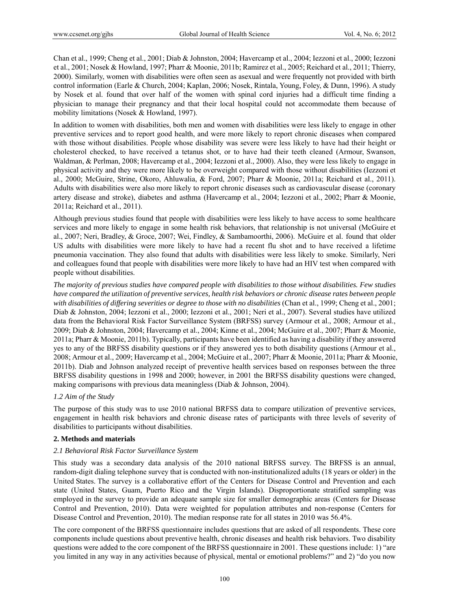Chan et al., 1999; Cheng et al., 2001; Diab & Johnston, 2004; Havercamp et al., 2004; Iezzoni et al., 2000; Iezzoni et al., 2001; Nosek & Howland, 1997; Pharr & Moonie, 2011b; Ramirez et al., 2005; Reichard et al., 2011; Thierry, 2000). Similarly, women with disabilities were often seen as asexual and were frequently not provided with birth control information (Earle & Church, 2004; Kaplan, 2006; Nosek, Rintala, Young, Foley, & Dunn, 1996). A study by Nosek et al. found that over half of the women with spinal cord injuries had a difficult time finding a physician to manage their pregnancy and that their local hospital could not accommodate them because of mobility limitations (Nosek & Howland, 1997).

In addition to women with disabilities, both men and women with disabilities were less likely to engage in other preventive services and to report good health, and were more likely to report chronic diseases when compared with those without disabilities. People whose disability was severe were less likely to have had their height or cholesterol checked, to have received a tetanus shot, or to have had their teeth cleaned (Armour, Swanson, Waldman, & Perlman, 2008; Havercamp et al., 2004; Iezzoni et al., 2000). Also, they were less likely to engage in physical activity and they were more likely to be overweight compared with those without disabilities (Iezzoni et al., 2000; McGuire, Strine, Okoro, Ahluwalia, & Ford, 2007; Pharr & Moonie, 2011a; Reichard et al., 2011). Adults with disabilities were also more likely to report chronic diseases such as cardiovascular disease (coronary artery disease and stroke), diabetes and asthma (Havercamp et al., 2004; Iezzoni et al., 2002; Pharr & Moonie, 2011a; Reichard et al., 2011).

Although previous studies found that people with disabilities were less likely to have access to some healthcare services and more likely to engage in some health risk behaviors, that relationship is not universal (McGuire et al., 2007; Neri, Bradley, & Groce, 2007; Wei, Findley, & Sambamoorthi, 2006). McGuire et al. found that older US adults with disabilities were more likely to have had a recent flu shot and to have received a lifetime pneumonia vaccination. They also found that adults with disabilities were less likely to smoke. Similarly, Neri and colleagues found that people with disabilities were more likely to have had an HIV test when compared with people without disabilities.

*The majority of previous studies have compared people with disabilities to those without disabilities. Few studies have compared the utilization of preventive services, health risk behaviors or chronic disease rates between people with disabilities of differing severities or degree to those with no disabilities* (Chan et al., 1999; Cheng et al., 2001; Diab & Johnston, 2004; Iezzoni et al., 2000; Iezzoni et al., 2001; Neri et al., 2007). Several studies have utilized data from the Behavioral Risk Factor Surveillance System (BRFSS) survey (Armour et al., 2008; Armour et al., 2009; Diab & Johnston, 2004; Havercamp et al., 2004; Kinne et al., 2004; McGuire et al., 2007; Pharr & Moonie, 2011a; Pharr & Moonie, 2011b). Typically, participants have been identified as having a disability if they answered yes to any of the BRFSS disability questions or if they answered yes to both disability questions (Armour et al., 2008; Armour et al., 2009; Havercamp et al., 2004; McGuire et al., 2007; Pharr & Moonie, 2011a; Pharr & Moonie, 2011b). Diab and Johnson analyzed receipt of preventive health services based on responses between the three BRFSS disability questions in 1998 and 2000; however, in 2001 the BRFSS disability questions were changed, making comparisons with previous data meaningless (Diab & Johnson, 2004).

#### *1.2 Aim of the Study*

The purpose of this study was to use 2010 national BRFSS data to compare utilization of preventive services, engagement in health risk behaviors and chronic disease rates of participants with three levels of severity of disabilities to participants without disabilities.

#### **2. Methods and materials**

#### *2.1 Behavioral Risk Factor Surveillance System*

This study was a secondary data analysis of the 2010 national BRFSS survey. The BRFSS is an annual, random-digit dialing telephone survey that is conducted with non-institutionalized adults (18 years or older) in the United States. The survey is a collaborative effort of the Centers for Disease Control and Prevention and each state (United States, Guam, Puerto Rico and the Virgin Islands). Disproportionate stratified sampling was employed in the survey to provide an adequate sample size for smaller demographic areas (Centers for Disease Control and Prevention, 2010). Data were weighted for population attributes and non-response (Centers for Disease Control and Prevention, 2010). The median response rate for all states in 2010 was 56.4%.

The core component of the BRFSS questionnaire includes questions that are asked of all respondents. These core components include questions about preventive health, chronic diseases and health risk behaviors. Two disability questions were added to the core component of the BRFSS questionnaire in 2001. These questions include: 1) "are you limited in any way in any activities because of physical, mental or emotional problems?" and 2) "do you now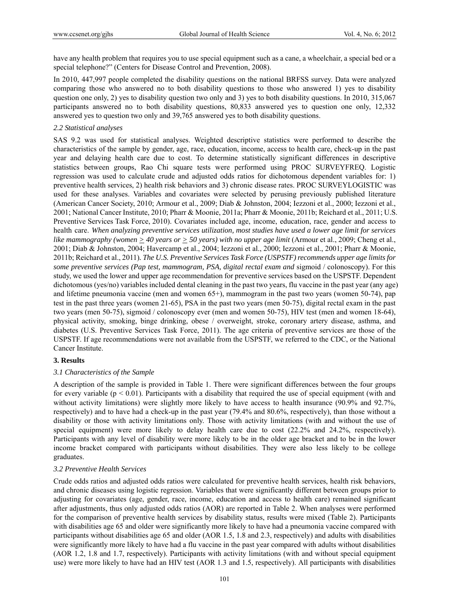have any health problem that requires you to use special equipment such as a cane, a wheelchair, a special bed or a special telephone?" (Centers for Disease Control and Prevention, 2008).

In 2010, 447,997 people completed the disability questions on the national BRFSS survey. Data were analyzed comparing those who answered no to both disability questions to those who answered 1) yes to disability question one only, 2) yes to disability question two only and 3) yes to both disability questions. In 2010, 315,067 participants answered no to both disability questions, 80,833 answered yes to question one only, 12,332 answered yes to question two only and 39,765 answered yes to both disability questions.

#### *2.2 Statistical analyses*

SAS 9.2 was used for statistical analyses. Weighted descriptive statistics were performed to describe the characteristics of the sample by gender, age, race, education, income, access to health care, check-up in the past year and delaying health care due to cost. To determine statistically significant differences in descriptive statistics between groups, Rao Chi square tests were performed using PROC SURVEYFREQ. Logistic regression was used to calculate crude and adjusted odds ratios for dichotomous dependent variables for: 1) preventive health services, 2) health risk behaviors and 3) chronic disease rates. PROC SURVEYLOGISTIC was used for these analyses. Variables and covariates were selected by perusing previously published literature (American Cancer Society, 2010; Armour et al., 2009; Diab & Johnston, 2004; Iezzoni et al., 2000; Iezzoni et al., 2001; National Cancer Institute, 2010; Pharr & Moonie, 2011a; Pharr & Moonie, 2011b; Reichard et al., 2011; U.S. Preventive Services Task Force, 2010). Covariates included age, income, education, race, gender and access to health care. *When analyzing preventive services utilization, most studies have used a lower age limit for services like mammography (women*  $\geq$  *40 years or*  $\geq$  *50 years) with no upper age limit (Armour et al., 2009; Cheng et al.,* 2001; Diab & Johnston, 2004; Havercamp et al., 2004; Iezzoni et al., 2000; Iezzoni et al., 2001; Pharr & Moonie, 2011b; Reichard et al., 2011)*. The U.S. Preventive Services Task Force (USPSTF) recommends upper age limits for some preventive services (Pap test, mammogram, PSA, digital rectal exam and* sigmoid / colonoscopy). For this study, we used the lower and upper age recommendation for preventive services based on the USPSTF. Dependent dichotomous (yes/no) variables included dental cleaning in the past two years, flu vaccine in the past year (any age) and lifetime pneumonia vaccine (men and women 65+), mammogram in the past two years (women 50-74), pap test in the past three years (women 21-65), PSA in the past two years (men 50-75), digital rectal exam in the past two years (men 50-75), sigmoid / colonoscopy ever (men and women 50-75), HIV test (men and women 18-64), physical activity, smoking, binge drinking, obese / overweight, stroke, coronary artery disease, asthma, and diabetes (U.S. Preventive Services Task Force, 2011). The age criteria of preventive services are those of the USPSTF. If age recommendations were not available from the USPSTF, we referred to the CDC, or the National Cancer Institute.

#### **3. Results**

#### *3.1 Characteristics of the Sample*

A description of the sample is provided in Table 1. There were significant differences between the four groups for every variable ( $p < 0.01$ ). Participants with a disability that required the use of special equipment (with and without activity limitations) were slightly more likely to have access to health insurance (90.9% and 92.7%, respectively) and to have had a check-up in the past year (79.4% and 80.6%, respectively), than those without a disability or those with activity limitations only. Those with activity limitations (with and without the use of special equipment) were more likely to delay health care due to cost (22.2% and 24.2%, respectively). Participants with any level of disability were more likely to be in the older age bracket and to be in the lower income bracket compared with participants without disabilities. They were also less likely to be college graduates.

#### *3.2 Preventive Health Services*

Crude odds ratios and adjusted odds ratios were calculated for preventive health services, health risk behaviors, and chronic diseases using logistic regression. Variables that were significantly different between groups prior to adjusting for covariates (age, gender, race, income, education and access to health care) remained significant after adjustments, thus only adjusted odds ratios (AOR) are reported in Table 2. When analyses were performed for the comparison of preventive health services by disability status, results were mixed (Table 2). Participants with disabilities age 65 and older were significantly more likely to have had a pneumonia vaccine compared with participants without disabilities age 65 and older (AOR 1.5, 1.8 and 2.3, respectively) and adults with disabilities were significantly more likely to have had a flu vaccine in the past year compared with adults without disabilities (AOR 1.2, 1.8 and 1.7, respectively). Participants with activity limitations (with and without special equipment use) were more likely to have had an HIV test (AOR 1.3 and 1.5, respectively). All participants with disabilities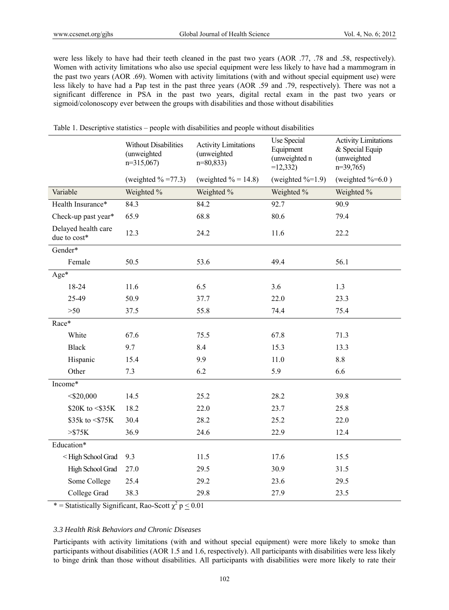were less likely to have had their teeth cleaned in the past two years (AOR .77, .78 and .58, respectively). Women with activity limitations who also use special equipment were less likely to have had a mammogram in the past two years (AOR .69). Women with activity limitations (with and without special equipment use) were less likely to have had a Pap test in the past three years (AOR .59 and .79, respectively). There was not a significant difference in PSA in the past two years, digital rectal exam in the past two years or sigmoid/colonoscopy ever between the groups with disabilities and those without disabilities

|                                                                                           | <b>Without Disabilities</b><br>(unweighted<br>$n=315,067$ | <b>Activity Limitations</b><br>(unweighted<br>$n=80,833$ | Use Special<br>Equipment<br>(unweighted n<br>$=12,332$ | <b>Activity Limitations</b><br>& Special Equip<br>(unweighted<br>$n=39,765$ |  |
|-------------------------------------------------------------------------------------------|-----------------------------------------------------------|----------------------------------------------------------|--------------------------------------------------------|-----------------------------------------------------------------------------|--|
|                                                                                           | (weighted $\% = 77.3$ )                                   | (weighted $\% = 14.8$ )                                  | (weighted $%=1.9$ )                                    | (weighted $\%=6.0$ )                                                        |  |
| Variable                                                                                  | Weighted %                                                | Weighted %                                               | Weighted %                                             | Weighted %                                                                  |  |
| Health Insurance*                                                                         | 84.3                                                      | 84.2                                                     | 92.7                                                   | 90.9                                                                        |  |
| Check-up past year*                                                                       | 65.9                                                      | 68.8                                                     | 80.6                                                   | 79.4                                                                        |  |
| Delayed health care<br>due to cost*                                                       | 12.3                                                      | 24.2                                                     | 11.6                                                   | 22.2                                                                        |  |
| Gender*                                                                                   |                                                           |                                                          |                                                        |                                                                             |  |
| Female                                                                                    | 50.5                                                      | 53.6                                                     | 49.4                                                   | 56.1                                                                        |  |
| Age*                                                                                      |                                                           |                                                          |                                                        |                                                                             |  |
| 18-24                                                                                     | 11.6                                                      | 6.5                                                      | 3.6                                                    | 1.3                                                                         |  |
| 25-49                                                                                     | 50.9                                                      | 37.7                                                     | 22.0                                                   | 23.3                                                                        |  |
| $>50$                                                                                     | 37.5                                                      | 55.8                                                     | 74.4                                                   | 75.4                                                                        |  |
| Race*                                                                                     |                                                           |                                                          |                                                        |                                                                             |  |
| White                                                                                     | 67.6                                                      | 75.5                                                     | 67.8                                                   | 71.3                                                                        |  |
| <b>Black</b>                                                                              | 9.7                                                       | 8.4                                                      | 15.3                                                   | 13.3                                                                        |  |
| Hispanic                                                                                  | 15.4                                                      | 9.9                                                      | 11.0                                                   | 8.8                                                                         |  |
| Other                                                                                     | 7.3                                                       | 6.2                                                      | 5.9                                                    | 6.6                                                                         |  |
| $Income*$                                                                                 |                                                           |                                                          |                                                        |                                                                             |  |
| $<$ \$20,000                                                                              | 14.5                                                      | 25.2                                                     | 28.2                                                   | 39.8                                                                        |  |
| $$20K$ to $$35K$                                                                          | 18.2                                                      | 22.0                                                     | 23.7                                                   | 25.8                                                                        |  |
| \$35k to <\$75K                                                                           | 30.4                                                      | 28.2                                                     | 25.2                                                   | 22.0                                                                        |  |
| $>\frac{575K}{2}$                                                                         | 36.9                                                      | 24.6                                                     | 22.9                                                   | 12.4                                                                        |  |
| Education*                                                                                |                                                           |                                                          |                                                        |                                                                             |  |
| <high grad<="" school="" td=""><td>9.3</td><td>11.5</td><td>17.6</td><td>15.5</td></high> | 9.3                                                       | 11.5                                                     | 17.6                                                   | 15.5                                                                        |  |
| High School Grad                                                                          | 27.0                                                      | 29.5                                                     | 30.9                                                   | 31.5                                                                        |  |
| Some College                                                                              | 25.4                                                      | 29.2                                                     | 23.6                                                   | 29.5                                                                        |  |
| College Grad                                                                              | 38.3                                                      | 29.8                                                     | 27.9                                                   | 23.5                                                                        |  |

Table 1. Descriptive statistics – people with disabilities and people without disabilities

\* = Statistically Significant, Rao-Scott  $\chi^2$  p  $\leq$  0.01

#### *3.3 Health Risk Behaviors and Chronic Diseases*

Participants with activity limitations (with and without special equipment) were more likely to smoke than participants without disabilities (AOR 1.5 and 1.6, respectively). All participants with disabilities were less likely to binge drink than those without disabilities. All participants with disabilities were more likely to rate their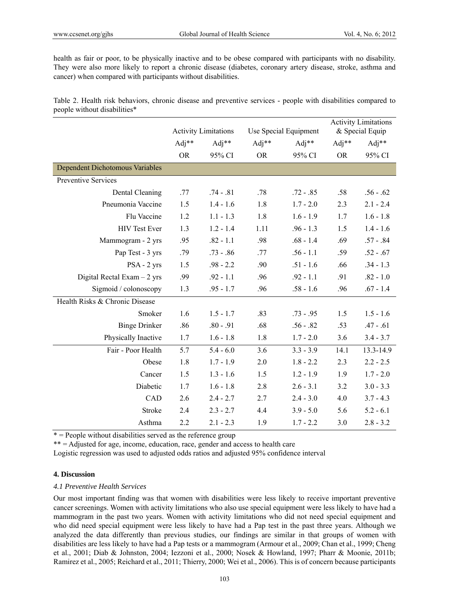health as fair or poor, to be physically inactive and to be obese compared with participants with no disability. They were also more likely to report a chronic disease (diabetes, coronary artery disease, stroke, asthma and cancer) when compared with participants without disabilities.

Table 2. Health risk behaviors, chronic disease and preventive services - people with disabilities compared to people without disabilities\*

|                                        | <b>Activity Limitations</b> |             | Use Special Equipment |             | <b>Activity Limitations</b><br>& Special Equip |             |
|----------------------------------------|-----------------------------|-------------|-----------------------|-------------|------------------------------------------------|-------------|
|                                        | Adj**                       | Adj**       | Adj**                 | Adj**       | Adj**                                          | Adj**       |
|                                        | <b>OR</b>                   | 95% CI      | <b>OR</b>             | 95% CI      | <b>OR</b>                                      | 95% CI      |
| <b>Dependent Dichotomous Variables</b> |                             |             |                       |             |                                                |             |
| Preventive Services                    |                             |             |                       |             |                                                |             |
| Dental Cleaning                        | .77                         | $.74 - .81$ | .78                   | $.72 - .85$ | .58                                            | $.56 - .62$ |
| Pneumonia Vaccine                      | 1.5                         | $1.4 - 1.6$ | 1.8                   | $1.7 - 2.0$ | 2.3                                            | $2.1 - 2.4$ |
| Flu Vaccine                            | 1.2                         | $1.1 - 1.3$ | 1.8                   | $1.6 - 1.9$ | 1.7                                            | $1.6 - 1.8$ |
| <b>HIV Test Ever</b>                   | 1.3                         | $1.2 - 1.4$ | 1.11                  | $.96 - 1.3$ | 1.5                                            | $1.4 - 1.6$ |
| Mammogram - 2 yrs                      | .95                         | $.82 - 1.1$ | .98                   | $.68 - 1.4$ | .69                                            | $.57 - .84$ |
| Pap Test - 3 yrs                       | .79                         | $.73 - .86$ | .77                   | $.56 - 1.1$ | .59                                            | $.52 - .67$ |
| PSA - 2 yrs                            | 1.5                         | $.98 - 2.2$ | .90                   | $.51 - 1.6$ | .66                                            | $.34 - 1.3$ |
| Digital Rectal Exam $-2$ yrs           | .99                         | $.92 - 1.1$ | .96                   | $.92 - 1.1$ | .91                                            | $.82 - 1.0$ |
| Sigmoid / colonoscopy                  | 1.3                         | $.95 - 1.7$ | .96                   | $.58 - 1.6$ | .96                                            | $.67 - 1.4$ |
| Health Risks & Chronic Disease         |                             |             |                       |             |                                                |             |
| Smoker                                 | 1.6                         | $1.5 - 1.7$ | .83                   | $.73 - .95$ | 1.5                                            | $1.5 - 1.6$ |
| <b>Binge Drinker</b>                   | .86                         | $.80 - .91$ | .68                   | $.56 - .82$ | .53                                            | $.47 - .61$ |
| Physically Inactive                    | 1.7                         | $1.6 - 1.8$ | 1.8                   | $1.7 - 2.0$ | 3.6                                            | $3.4 - 3.7$ |
| Fair - Poor Health                     | 5.7                         | $5.4 - 6.0$ | 3.6                   | $3.3 - 3.9$ | 14.1                                           | 13.3-14.9   |
| Obese                                  | 1.8                         | $1.7 - 1.9$ | 2.0                   | $1.8 - 2.2$ | 2.3                                            | $2.2 - 2.5$ |
| Cancer                                 | 1.5                         | $1.3 - 1.6$ | 1.5                   | $1.2 - 1.9$ | 1.9                                            | $1.7 - 2.0$ |
| Diabetic                               | 1.7                         | $1.6 - 1.8$ | 2.8                   | $2.6 - 3.1$ | 3.2                                            | $3.0 - 3.3$ |
| CAD                                    | 2.6                         | $2.4 - 2.7$ | 2.7                   | $2.4 - 3.0$ | 4.0                                            | $3.7 - 4.3$ |
| Stroke                                 | 2.4                         | $2.3 - 2.7$ | 4.4                   | $3.9 - 5.0$ | 5.6                                            | $5.2 - 6.1$ |
| Asthma                                 | 2.2                         | $2.1 - 2.3$ | 1.9                   | $1.7 - 2.2$ | 3.0                                            | $2.8 - 3.2$ |

 $* =$  People without disabilities served as the reference group

\*\* = Adjusted for age, income, education, race, gender and access to health care

Logistic regression was used to adjusted odds ratios and adjusted 95% confidence interval

# **4. Discussion**

#### *4.1 Preventive Health Services*

Our most important finding was that women with disabilities were less likely to receive important preventive cancer screenings. Women with activity limitations who also use special equipment were less likely to have had a mammogram in the past two years. Women with activity limitations who did not need special equipment and who did need special equipment were less likely to have had a Pap test in the past three years. Although we analyzed the data differently than previous studies, our findings are similar in that groups of women with disabilities are less likely to have had a Pap tests or a mammogram (Armour et al., 2009; Chan et al., 1999; Cheng et al., 2001; Diab & Johnston, 2004; Iezzoni et al., 2000; Nosek & Howland, 1997; Pharr & Moonie, 2011b; Ramirez et al., 2005; Reichard et al., 2011; Thierry, 2000; Wei et al., 2006). This is of concern because participants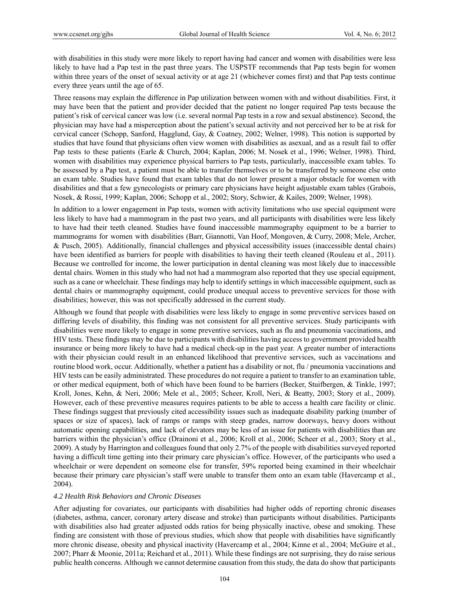with disabilities in this study were more likely to report having had cancer and women with disabilities were less likely to have had a Pap test in the past three years. The USPSTF recommends that Pap tests begin for women within three years of the onset of sexual activity or at age 21 (whichever comes first) and that Pap tests continue every three years until the age of 65.

Three reasons may explain the difference in Pap utilization between women with and without disabilities. First, it may have been that the patient and provider decided that the patient no longer required Pap tests because the patient's risk of cervical cancer was low (i.e. several normal Pap tests in a row and sexual abstinence). Second, the physician may have had a misperception about the patient's sexual activity and not perceived her to be at risk for cervical cancer (Schopp, Sanford, Hagglund, Gay, & Coatney, 2002; Welner, 1998). This notion is supported by studies that have found that physicians often view women with disabilities as asexual, and as a result fail to offer Pap tests to these patients (Earle & Church, 2004; Kaplan, 2006; M. Nosek et al., 1996; Welner, 1998). Third, women with disabilities may experience physical barriers to Pap tests, particularly, inaccessible exam tables. To be assessed by a Pap test, a patient must be able to transfer themselves or to be transferred by someone else onto an exam table. Studies have found that exam tables that do not lower present a major obstacle for women with disabilities and that a few gynecologists or primary care physicians have height adjustable exam tables (Grabois, Nosek, & Rossi, 1999; Kaplan, 2006; Schopp et al., 2002; Story, Schwier, & Kailes, 2009; Welner, 1998).

In addition to a lower engagement in Pap tests, women with activity limitations who use special equipment were less likely to have had a mammogram in the past two years, and all participants with disabilities were less likely to have had their teeth cleaned. Studies have found inaccessible mammography equipment to be a barrier to mammograms for women with disabilities (Barr, Giannotti, Van Hoof, Mongoven, & Curry, 2008; Mele, Archer, & Pusch, 2005). Additionally, financial challenges and physical accessibility issues (inaccessible dental chairs) have been identified as barriers for people with disabilities to having their teeth cleaned (Rouleau et al., 2011). Because we controlled for income, the lower participation in dental cleaning was most likely due to inaccessible dental chairs. Women in this study who had not had a mammogram also reported that they use special equipment, such as a cane or wheelchair. These findings may help to identify settings in which inaccessible equipment, such as dental chairs or mammography equipment, could produce unequal access to preventive services for those with disabilities; however, this was not specifically addressed in the current study.

Although we found that people with disabilities were less likely to engage in some preventive services based on differing levels of disability, this finding was not consistent for all preventive services. Study participants with disabilities were more likely to engage in some preventive services, such as flu and pneumonia vaccinations, and HIV tests. These findings may be due to participants with disabilities having access to government provided health insurance or being more likely to have had a medical check-up in the past year. A greater number of interactions with their physician could result in an enhanced likelihood that preventive services, such as vaccinations and routine blood work, occur. Additionally, whether a patient has a disability or not, flu / pneumonia vaccinations and HIV tests can be easily administrated. These procedures do not require a patient to transfer to an examination table, or other medical equipment, both of which have been found to be barriers (Becker, Stuifbergen, & Tinkle, 1997; Kroll, Jones, Kehn, & Neri, 2006; Mele et al., 2005; Scheer, Kroll, Neri, & Beatty, 2003; Story et al., 2009). However, each of these preventive measures requires patients to be able to access a health care facility or clinic. These findings suggest that previously cited accessibility issues such as inadequate disability parking (number of spaces or size of spaces), lack of ramps or ramps with steep grades, narrow doorways, heavy doors without automatic opening capabilities, and lack of elevators may be less of an issue for patients with disabilities than are barriers within the physician's office (Drainoni et al., 2006; Kroll et al., 2006; Scheer et al., 2003; Story et al., 2009). A study by Harrington and colleagues found that only 2.7% of the people with disabilities surveyed reported having a difficult time getting into their primary care physician's office. However, of the participants who used a wheelchair or were dependent on someone else for transfer, 59% reported being examined in their wheelchair because their primary care physician's staff were unable to transfer them onto an exam table (Havercamp et al., 2004).

#### *4.2 Health Risk Behaviors and Chronic Diseases*

After adjusting for covariates, our participants with disabilities had higher odds of reporting chronic diseases (diabetes, asthma, cancer, coronary artery disease and stroke) than participants without disabilities. Participants with disabilities also had greater adjusted odds ratios for being physically inactive, obese and smoking. These finding are consistent with those of previous studies, which show that people with disabilities have significantly more chronic disease, obesity and physical inactivity (Havercamp et al., 2004; Kinne et al., 2004; McGuire et al., 2007; Pharr & Moonie, 2011a; Reichard et al., 2011). While these findings are not surprising, they do raise serious public health concerns. Although we cannot determine causation from this study, the data do show that participants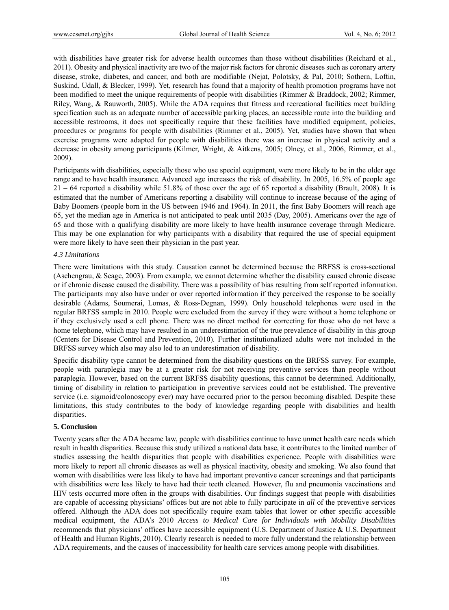with disabilities have greater risk for adverse health outcomes than those without disabilities (Reichard et al., 2011). Obesity and physical inactivity are two of the major risk factors for chronic diseases such as coronary artery disease, stroke, diabetes, and cancer, and both are modifiable (Nejat, Polotsky, & Pal, 2010; Sothern, Loftin, Suskind, Udall, & Blecker, 1999). Yet, research has found that a majority of health promotion programs have not been modified to meet the unique requirements of people with disabilities (Rimmer & Braddock, 2002; Rimmer, Riley, Wang, & Rauworth, 2005). While the ADA requires that fitness and recreational facilities meet building specification such as an adequate number of accessible parking places, an accessible route into the building and accessible restrooms, it does not specifically require that these facilities have modified equipment, policies, procedures or programs for people with disabilities (Rimmer et al., 2005). Yet, studies have shown that when exercise programs were adapted for people with disabilities there was an increase in physical activity and a decrease in obesity among participants (Kilmer, Wright, & Aitkens, 2005; Olney, et al., 2006, Rimmer, et al., 2009).

Participants with disabilities, especially those who use special equipment, were more likely to be in the older age range and to have health insurance. Advanced age increases the risk of disability. In 2005, 16.5% of people age 21 – 64 reported a disability while 51.8% of those over the age of 65 reported a disability (Brault, 2008). It is estimated that the number of Americans reporting a disability will continue to increase because of the aging of Baby Boomers (people born in the US between 1946 and 1964). In 2011, the first Baby Boomers will reach age 65, yet the median age in America is not anticipated to peak until 2035 (Day, 2005). Americans over the age of 65 and those with a qualifying disability are more likely to have health insurance coverage through Medicare. This may be one explanation for why participants with a disability that required the use of special equipment were more likely to have seen their physician in the past year.

#### *4.3 Limitations*

There were limitations with this study. Causation cannot be determined because the BRFSS is cross-sectional (Aschengrau, & Seage, 2003). From example, we cannot determine whether the disability caused chronic disease or if chronic disease caused the disability. There was a possibility of bias resulting from self reported information. The participants may also have under or over reported information if they perceived the response to be socially desirable (Adams, Soumerai, Lomas, & Ross-Degnan, 1999). Only household telephones were used in the regular BRFSS sample in 2010. People were excluded from the survey if they were without a home telephone or if they exclusively used a cell phone. There was no direct method for correcting for those who do not have a home telephone, which may have resulted in an underestimation of the true prevalence of disability in this group (Centers for Disease Control and Prevention, 2010). Further institutionalized adults were not included in the BRFSS survey which also may also led to an underestimation of disability.

Specific disability type cannot be determined from the disability questions on the BRFSS survey. For example, people with paraplegia may be at a greater risk for not receiving preventive services than people without paraplegia. However, based on the current BRFSS disability questions, this cannot be determined. Additionally, timing of disability in relation to participation in preventive services could not be established. The preventive service (i.e. sigmoid/colonoscopy ever) may have occurred prior to the person becoming disabled. Despite these limitations, this study contributes to the body of knowledge regarding people with disabilities and health disparities.

#### **5. Conclusion**

Twenty years after the ADA became law, people with disabilities continue to have unmet health care needs which result in health disparities. Because this study utilized a national data base, it contributes to the limited number of studies assessing the health disparities that people with disabilities experience. People with disabilities were more likely to report all chronic diseases as well as physical inactivity, obesity and smoking. We also found that women with disabilities were less likely to have had important preventive cancer screenings and that participants with disabilities were less likely to have had their teeth cleaned. However, flu and pneumonia vaccinations and HIV tests occurred more often in the groups with disabilities. Our findings suggest that people with disabilities are capable of accessing physicians' offices but are not able to fully participate in *all* of the preventive services offered. Although the ADA does not specifically require exam tables that lower or other specific accessible medical equipment, the ADA's 2010 *Access to Medical Care for Individuals with Mobility Disabilities* recommends that physicians' offices have accessible equipment (U.S. Department of Justice & U.S. Department of Health and Human Rights, 2010). Clearly research is needed to more fully understand the relationship between ADA requirements, and the causes of inaccessibility for health care services among people with disabilities.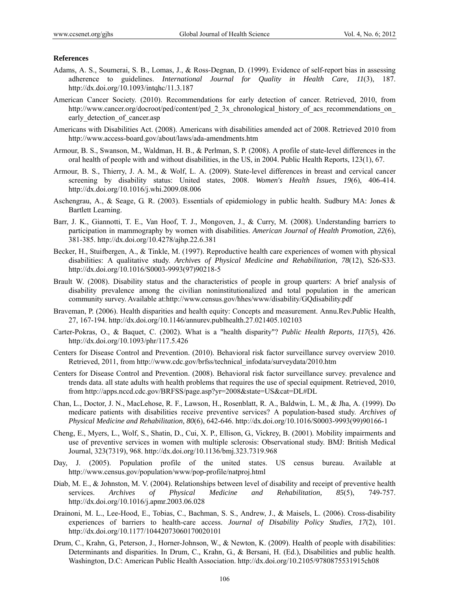#### **References**

- Adams, A. S., Soumerai, S. B., Lomas, J., & Ross-Degnan, D. (1999). Evidence of self-report bias in assessing adherence to guidelines. *International Journal for Quality in Health Care, 11*(3), 187. http://dx.doi.org/10.1093/intqhc/11.3.187
- American Cancer Society. (2010). Recommendations for early detection of cancer. Retrieved, 2010, from http://www.cancer.org/docroot/ped/content/ped\_2\_3x\_chronological\_history\_of\_acs\_recommendations\_on\_ early detection of cancer.asp
- Americans with Disabilities Act. (2008). Americans with disabilities amended act of 2008. Retrieved 2010 from http://www.access-board.gov/about/laws/ada-amendments.htm
- Armour, B. S., Swanson, M., Waldman, H. B., & Perlman, S. P. (2008). A profile of state-level differences in the oral health of people with and without disabilities, in the US, in 2004. Public Health Reports, 123(1), 67.
- Armour, B. S., Thierry, J. A. M., & Wolf, L. A. (2009). State-level differences in breast and cervical cancer screening by disability status: United states, 2008. *Women's Health Issues, 19*(6), 406-414. http://dx.doi.org/10.1016/j.whi.2009.08.006
- Aschengrau, A., & Seage, G. R. (2003). Essentials of epidemiology in public health. Sudbury MA: Jones & Bartlett Learning.
- Barr, J. K., Giannotti, T. E., Van Hoof, T. J., Mongoven, J., & Curry, M. (2008). Understanding barriers to participation in mammography by women with disabilities. *American Journal of Health Promotion, 22*(6), 381-385. http://dx.doi.org/10.4278/ajhp.22.6.381
- Becker, H., Stuifbergen, A., & Tinkle, M. (1997). Reproductive health care experiences of women with physical disabilities: A qualitative study. *Archives of Physical Medicine and Rehabilitation, 78*(12), S26-S33. http://dx.doi.org/10.1016/S0003-9993(97)90218-5
- Brault W. (2008). Disability status and the characteristics of people in group quarters: A brief analysis of disability prevalence among the civilian noninstitutionalized and total population in the american community survey. Available at:http://www.census.gov/hhes/www/disability/GQdisability.pdf
- Braveman, P. (2006). Health disparities and health equity: Concepts and measurement. Annu.Rev.Public Health, 27, 167-194. http://dx.doi.org/10.1146/annurev.publhealth.27.021405.102103
- Carter-Pokras, O., & Baquet, C. (2002). What is a "health disparity"? *Public Health Reports, 117*(5), 426. http://dx.doi.org/10.1093/phr/117.5.426
- Centers for Disease Control and Prevention. (2010). Behavioral risk factor surveillance survey overview 2010. Retrieved, 2011, from http://www.cdc.gov/brfss/technical\_infodata/surveydata/2010.htm
- Centers for Disease Control and Prevention. (2008). Behavioral risk factor surveillance survey. prevalence and trends data. all state adults with health problems that requires the use of special equipment. Retrieved, 2010, from http://apps.nccd.cdc.gov/BRFSS/page.asp?yr=2008&state=US&cat=DL#DL
- Chan, L., Doctor, J. N., MacLehose, R. F., Lawson, H., Rosenblatt, R. A., Baldwin, L. M., & Jha, A. (1999). Do medicare patients with disabilities receive preventive services? A population-based study. *Archives of Physical Medicine and Rehabilitation, 80*(6), 642-646. http://dx.doi.org/10.1016/S0003-9993(99)90166-1
- Cheng, E., Myers, L., Wolf, S., Shatin, D., Cui, X. P., Ellison, G., Vickrey, B. (2001). Mobility impairments and use of preventive services in women with multiple sclerosis: Observational study. BMJ: British Medical Journal, 323(7319), 968. http://dx.doi.org/10.1136/bmj.323.7319.968
- Day, J. (2005). Population profile of the united states. US census bureau. Available at http://www.census.gov/population/www/pop-profile/natproj.html
- Diab, M. E., & Johnston, M. V. (2004). Relationships between level of disability and receipt of preventive health services. *Archives of Physical Medicine and Rehabilitation, 85*(5), 749-757. http://dx.doi.org/10.1016/j.apmr.2003.06.028
- Drainoni, M. L., Lee-Hood, E., Tobias, C., Bachman, S. S., Andrew, J., & Maisels, L. (2006). Cross-disability experiences of barriers to health-care access. *Journal of Disability Policy Studies, 17*(2), 101. http://dx.doi.org/10.1177/10442073060170020101
- Drum, C., Krahn, G., Peterson, J., Horner-Johnson, W., & Newton, K. (2009). Health of people with disabilities: Determinants and disparities. In Drum, C., Krahn, G., & Bersani, H. (Ed.), Disabilities and public health. Washington, D.C: American Public Health Association. http://dx.doi.org/10.2105/9780875531915ch08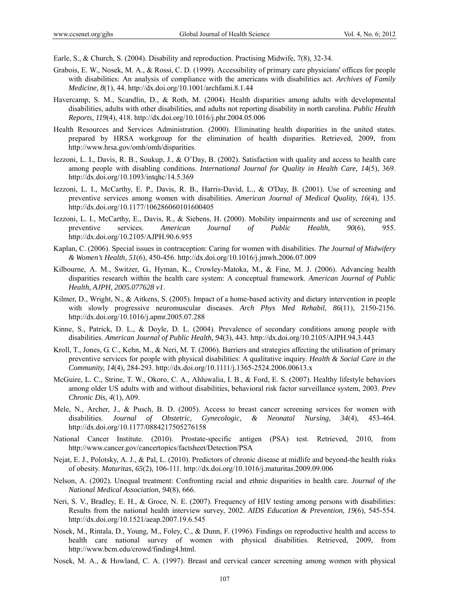Earle, S., & Church, S. (2004). Disability and reproduction. Practising Midwife, 7(8), 32-34.

- Grabois, E. W., Nosek, M. A., & Rossi, C. D. (1999). Accessibility of primary care physicians' offices for people with disabilities: An analysis of compliance with the americans with disabilities act. *Archives of Family Medicine, 8*(1), 44. http://dx.doi.org/10.1001/archfami.8.1.44
- Havercamp, S. M., Scandlin, D., & Roth, M. (2004). Health disparities among adults with developmental disabilities, adults with other disabilities, and adults not reporting disability in north carolina. *Public Health Reports, 119*(4), 418. http://dx.doi.org/10.1016/j.phr.2004.05.006
- Health Resources and Services Administration. (2000). Eliminating health disparities in the united states. prepared by HRSA workgroup for the elimination of health disparities. Retrieved, 2009, from http://www.hrsa.gov/omh/omh/disparities.
- Iezzoni, L. I., Davis, R. B., Soukup, J., & O'Day, B. (2002). Satisfaction with quality and access to health care among people with disabling conditions. *International Journal for Quality in Health Care, 14*(5), 369. http://dx.doi.org/10.1093/intqhc/14.5.369
- Iezzoni, L. I., McCarthy, E. P., Davis, R. B., Harris-David, L., & O'Day, B. (2001). Use of screening and preventive services among women with disabilities. *American Journal of Medical Quality, 16*(4), 135. http://dx.doi.org/10.1177/106286060101600405
- Iezzoni, L. I., McCarthy, E., Davis, R., & Siebens, H. (2000). Mobility impairments and use of screening and preventive services. *American Journal of Public Health, 90*(6), 955. http://dx.doi.org/10.2105/AJPH.90.6.955
- Kaplan, C. (2006). Special issues in contraception: Caring for women with disabilities. *The Journal of Midwifery & Women's Health, 51*(6), 450-456. http://dx.doi.org/10.1016/j.jmwh.2006.07.009
- Kilbourne, A. M., Switzer, G., Hyman, K., Crowley-Matoka, M., & Fine, M. J. (2006). Advancing health disparities research within the health care system: A conceptual framework. *American Journal of Public Health, AJPH, 2005.077628 v1*.
- Kilmer, D., Wright, N., & Aitkens, S. (2005). Impact of a home-based activity and dietary intervention in people with slowly progressive neuromuscular diseases. *Arch Phys Med Rehabil, 86*(11), 2150-2156. http://dx.doi.org/10.1016/j.apmr.2005.07.288
- Kinne, S., Patrick, D. L., & Doyle, D. L. (2004). Prevalence of secondary conditions among people with disabilities. *American Journal of Public Health, 94*(3), 443. http://dx.doi.org/10.2105/AJPH.94.3.443
- Kroll, T., Jones, G. C., Kehn, M., & Neri, M. T. (2006). Barriers and strategies affecting the utilisation of primary preventive services for people with physical disabilities: A qualitative inquiry. *Health & Social Care in the Community, 14*(4), 284-293. http://dx.doi.org/10.1111/j.1365-2524.2006.00613.x
- McGuire, L. C., Strine, T. W., Okoro, C. A., Ahluwalia, I. B., & Ford, E. S. (2007). Healthy lifestyle behaviors among older US adults with and without disabilities, behavioral risk factor surveillance system, 2003. *Prev Chronic Dis, 4*(1), A09.
- Mele, N., Archer, J., & Pusch, B. D. (2005). Access to breast cancer screening services for women with disabilities. *Journal of Obstetric, Gynecologic, & Neonatal Nursing, 34*(4), 453-464. http://dx.doi.org/10.1177/0884217505276158
- National Cancer Institute. (2010). Prostate-specific antigen (PSA) test. Retrieved, 2010, from http://www.cancer.gov/cancertopics/factsheet/Detection/PSA
- Nejat, E. J., Polotsky, A. J., & Pal, L. (2010). Predictors of chronic disease at midlife and beyond-the health risks of obesity. *Maturitas, 65*(2), 106-111. http://dx.doi.org/10.1016/j.maturitas.2009.09.006
- Nelson, A. (2002). Unequal treatment: Confronting racial and ethnic disparities in health care. *Journal of the National Medical Association, 94*(8), 666.
- Neri, S. V., Bradley, E. H., & Groce, N. E. (2007). Frequency of HIV testing among persons with disabilities: Results from the national health interview survey, 2002. *AIDS Education & Prevention, 19*(6), 545-554. http://dx.doi.org/10.1521/aeap.2007.19.6.545
- Nosek, M., Rintala, D., Young, M., Foley, C., & Dunn, F. (1996). Findings on reproductive health and access to health care national survey of women with physical disabilities. Retrieved, 2009, from http://www.bcm.edu/crowd/finding4.html.
- Nosek, M. A., & Howland, C. A. (1997). Breast and cervical cancer screening among women with physical